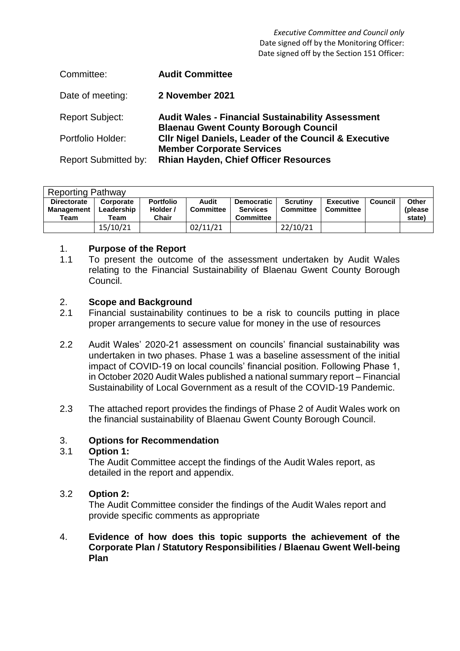*Executive Committee and Council only* Date signed off by the Monitoring Officer: Date signed off by the Section 151 Officer:

| Committee:                  | <b>Audit Committee</b>                                                                                  |
|-----------------------------|---------------------------------------------------------------------------------------------------------|
| Date of meeting:            | 2 November 2021                                                                                         |
| <b>Report Subject:</b>      | <b>Audit Wales - Financial Sustainability Assessment</b><br><b>Blaenau Gwent County Borough Council</b> |
| Portfolio Holder:           | <b>CIIr Nigel Daniels, Leader of the Council &amp; Executive</b><br><b>Member Corporate Services</b>    |
| <b>Report Submitted by:</b> | <b>Rhian Hayden, Chief Officer Resources</b>                                                            |

| <b>Reporting Pathway</b> |            |                  |                  |                   |                  |                  |         |              |  |  |
|--------------------------|------------|------------------|------------------|-------------------|------------------|------------------|---------|--------------|--|--|
| <b>Directorate</b>       | Corporate  | <b>Portfolio</b> | Audit            | <b>Democratic</b> | <b>Scrutiny</b>  | <b>Executive</b> | Council | <b>Other</b> |  |  |
| <b>Management</b>        | Leadership | Holder /         | <b>Committee</b> | <b>Services</b>   | <b>Committee</b> | Committee        |         | (please)     |  |  |
| Team                     | Team       | Chair            |                  | <b>Committee</b>  |                  |                  |         | state)       |  |  |
|                          | 15/10/21   |                  | 02/11/21         |                   | 22/10/21         |                  |         |              |  |  |

### 1. **Purpose of the Report**

1.1 To present the outcome of the assessment undertaken by Audit Wales relating to the Financial Sustainability of Blaenau Gwent County Borough Council.

### 2. **Scope and Background**

- 2.1 Financial sustainability continues to be a risk to councils putting in place proper arrangements to secure value for money in the use of resources
- 2.2 Audit Wales' 2020-21 assessment on councils' financial sustainability was undertaken in two phases. Phase 1 was a baseline assessment of the initial impact of COVID-19 on local councils' financial position. Following Phase 1, in October 2020 Audit Wales published a national summary report – Financial Sustainability of Local Government as a result of the COVID-19 Pandemic.
- 2.3 The attached report provides the findings of Phase 2 of Audit Wales work on the financial sustainability of Blaenau Gwent County Borough Council.

## 3. **Options for Recommendation**

#### 3.1 **Option 1:**

The Audit Committee accept the findings of the Audit Wales report, as detailed in the report and appendix.

## 3.2 **Option 2:**

The Audit Committee consider the findings of the Audit Wales report and provide specific comments as appropriate

### 4. **Evidence of how does this topic supports the achievement of the Corporate Plan / Statutory Responsibilities / Blaenau Gwent Well-being Plan**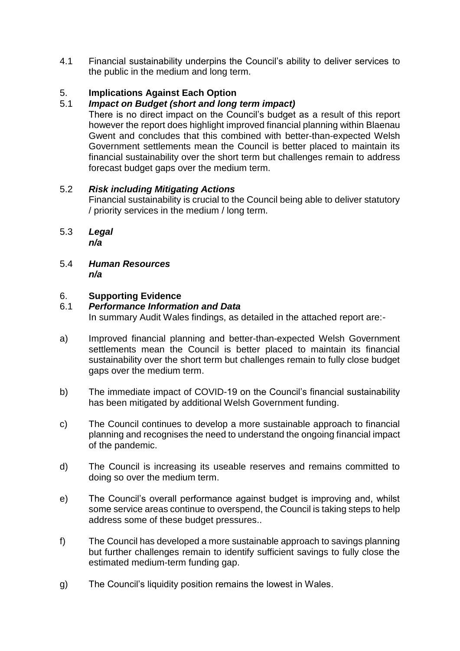4.1 Financial sustainability underpins the Council's ability to deliver services to the public in the medium and long term.

# 5. **Implications Against Each Option**

# 5.1 *Impact on Budget (short and long term impact)*

There is no direct impact on the Council's budget as a result of this report however the report does highlight improved financial planning within Blaenau Gwent and concludes that this combined with better-than-expected Welsh Government settlements mean the Council is better placed to maintain its financial sustainability over the short term but challenges remain to address forecast budget gaps over the medium term.

## 5.2 *Risk including Mitigating Actions*

Financial sustainability is crucial to the Council being able to deliver statutory / priority services in the medium / long term.

- 5.3 *Legal n/a*
- 5.4 *Human Resources n/a*

## 6. **Supporting Evidence**

## 6.1 *Performance Information and Data*

In summary Audit Wales findings, as detailed in the attached report are:-

- a) Improved financial planning and better-than-expected Welsh Government settlements mean the Council is better placed to maintain its financial sustainability over the short term but challenges remain to fully close budget gaps over the medium term.
- b) The immediate impact of COVID-19 on the Council's financial sustainability has been mitigated by additional Welsh Government funding.
- c) The Council continues to develop a more sustainable approach to financial planning and recognises the need to understand the ongoing financial impact of the pandemic.
- d) The Council is increasing its useable reserves and remains committed to doing so over the medium term.
- e) The Council's overall performance against budget is improving and, whilst some service areas continue to overspend, the Council is taking steps to help address some of these budget pressures..
- f) The Council has developed a more sustainable approach to savings planning but further challenges remain to identify sufficient savings to fully close the estimated medium-term funding gap.
- g) The Council's liquidity position remains the lowest in Wales.